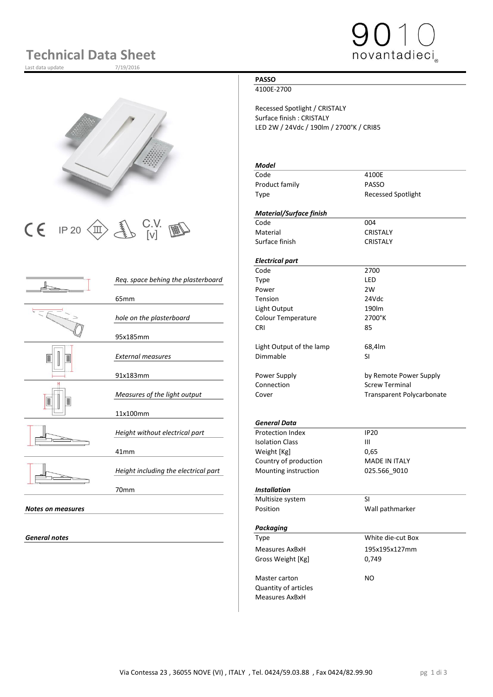# **Technical Data Sheet**

Last data update 7/19/2016







|                          |                                      | couc                      | 21 U U                  |
|--------------------------|--------------------------------------|---------------------------|-------------------------|
|                          | Req. space behing the plasterboard   | Type                      | LED                     |
|                          |                                      | Power                     | 2W                      |
|                          | 65 <sub>mm</sub>                     | Tension                   | 24Vdc                   |
|                          |                                      | Light Output              | 190lm                   |
|                          | hole on the plasterboard             | <b>Colour Temperature</b> | 2700°K                  |
|                          |                                      | <b>CRI</b>                | 85                      |
|                          | 95x185mm                             |                           |                         |
|                          |                                      | Light Output of the lamp  | 68,4lm                  |
|                          | <b>External measures</b>             | Dimmable                  | <b>SI</b>               |
|                          |                                      |                           |                         |
|                          | 91x183mm                             | Power Supply              | by Remote Powe          |
|                          |                                      | Connection                | <b>Screw Terminal</b>   |
|                          | Measures of the light output         | Cover                     | <b>Transparent Poly</b> |
|                          |                                      |                           |                         |
|                          | 11x100mm                             |                           |                         |
|                          |                                      | <b>General Data</b>       |                         |
|                          | Height without electrical part       | <b>Protection Index</b>   | <b>IP20</b>             |
|                          |                                      | <b>Isolation Class</b>    | $\mathbf{III}$          |
|                          | 41mm                                 | Weight [Kg]               | 0,65                    |
|                          |                                      | Country of production     | <b>MADE IN ITALY</b>    |
|                          | Height including the electrical part | Mounting instruction      | 025.566_9010            |
|                          |                                      |                           |                         |
|                          | 70mm                                 | <b>Installation</b>       |                         |
|                          |                                      | Multisize system          | SI                      |
| <b>Notes on measures</b> |                                      | Position                  | Wall pathmarker         |
|                          |                                      |                           |                         |
|                          |                                      |                           |                         |

**General notes** 

### **PASSO**

4100E-2700

Recessed Spotlight / CRISTALY Surface finish : CRISTALY LED 2W / 24Vdc / 190lm / 2700°K / CRI85

### *Model*

| Code           | 4100E                     |
|----------------|---------------------------|
| Product family | PASSO                     |
| Type           | <b>Recessed Spotlight</b> |

### *Material/Surface finish*

Material CRISTALY Surface finish CRISTALY

## *Electrical part*

|                                    | Code                      | 2700                             |
|------------------------------------|---------------------------|----------------------------------|
| Reg. space behing the plasterboard | Type                      | LED                              |
|                                    | Power                     | 2W                               |
| 65mm                               | Tension                   | 24Vdc                            |
|                                    | Light Output              | 190m                             |
| hole on the plasterboard           | <b>Colour Temperature</b> | 2700°K                           |
|                                    | <b>CRI</b>                | 85                               |
| 95x185mm                           |                           |                                  |
|                                    | Light Output of the lamp  | 68,4lm                           |
| <b>External measures</b>           | Dimmable                  | SI                               |
| 91x183mm                           | Power Supply              | by Remote Power Supply           |
|                                    | Connection                | <b>Screw Terminal</b>            |
| Measures of the light output       | Cover                     | <b>Transparent Polycarbonate</b> |
|                                    |                           |                                  |

### *General Data*

| Height without electrical part       | Protection Index       | IP 20                |  |  |
|--------------------------------------|------------------------|----------------------|--|--|
|                                      | <b>Isolation Class</b> | Ш                    |  |  |
| 41mm                                 | Weight [Kg]            | 0.65                 |  |  |
|                                      | Country of production  | <b>MADE IN ITALY</b> |  |  |
| Height including the electrical part | Mounting instruction   | 025.566 9010         |  |  |

### 70mm *Installation*

| Multisize system            | SI                |  |  |  |
|-----------------------------|-------------------|--|--|--|
| Position                    | Wall pathmarker   |  |  |  |
|                             |                   |  |  |  |
| Packaging                   |                   |  |  |  |
| Type                        | White die-cut Box |  |  |  |
| Measures AxBxH              | 195x195x127mm     |  |  |  |
| Gross Weight [Kg]           | 0,749             |  |  |  |
| Master carton               | NO                |  |  |  |
| <b>Quantity of articles</b> |                   |  |  |  |
|                             |                   |  |  |  |
| Measures AxBxH              |                   |  |  |  |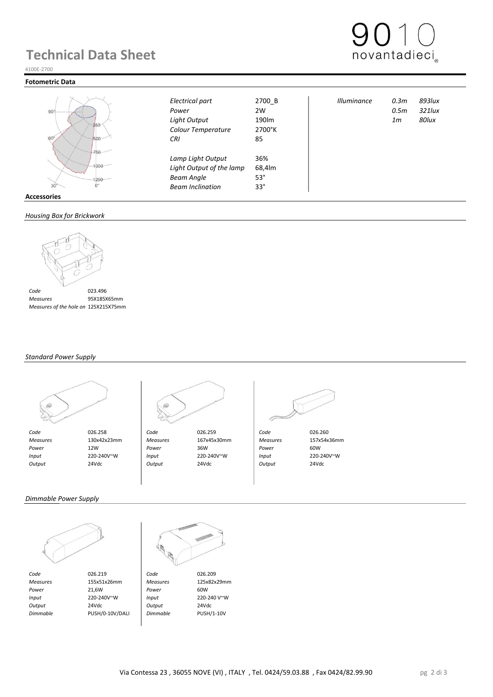# **Technical Data Sheet**



#### **Fotometric Data**



|                   | Electrical part          | 2700_B     | <b>Illuminance</b> | 0.3 <sub>m</sub> | 893Iux    |
|-------------------|--------------------------|------------|--------------------|------------------|-----------|
| $-90^\circ$       | Power                    | 2W         |                    | 0.5m             | $321$ lux |
|                   | <b>Light Output</b>      | 190lm      |                    | 1m               | 80lux     |
| 250               | Colour Temperature       | 2700°K     |                    |                  |           |
| $60^\circ$<br>500 | <b>CRI</b>               | 85         |                    |                  |           |
| 750               | Lamp Light Output        | 36%        |                    |                  |           |
| 1000              | Light Output of the lamp | 68,4lm     |                    |                  |           |
| 1250              | <b>Beam Angle</b>        | $53^\circ$ |                    |                  |           |
| 30                | <b>Beam Inclination</b>  | $33^\circ$ |                    |                  |           |
| Accessories       |                          |            |                    |                  |           |

#### *Housing Box for Brickwork*



 *Measures* 95X185X65mm  *Measures of the hole on Brickwork* 125X215X75mm

#### *Standard Power Supply*





 *Measures* 130x42x23mm *Measures* 167x45x30mm *Measures* 157x54x36mm  *Power* 12W *Power* 36W *Power* 60W  *Input* 220-240V~W *Input* 220-240V~W *Input* 220-240V~W  *Output* 24Vdc *Output* 24Vdc *Output* 24Vdc



*Dimmable Power Supply*



*Code* 026.219 **Code** 026.209<br> *Measures* 155x51x26mm *Measures* 125x82x29mm  *Measures* 155x51x26mm *Measures* 125x82x29mm  *Power* 21,6W *Power* 60W  *Input* 220-240V~W *Input* 220-240 V~W  *Output* 24Vdc *Output* 24Vdc  *Dimmable* PUSH/0-10V/DALI *Dimmable* PUSH/1-10V